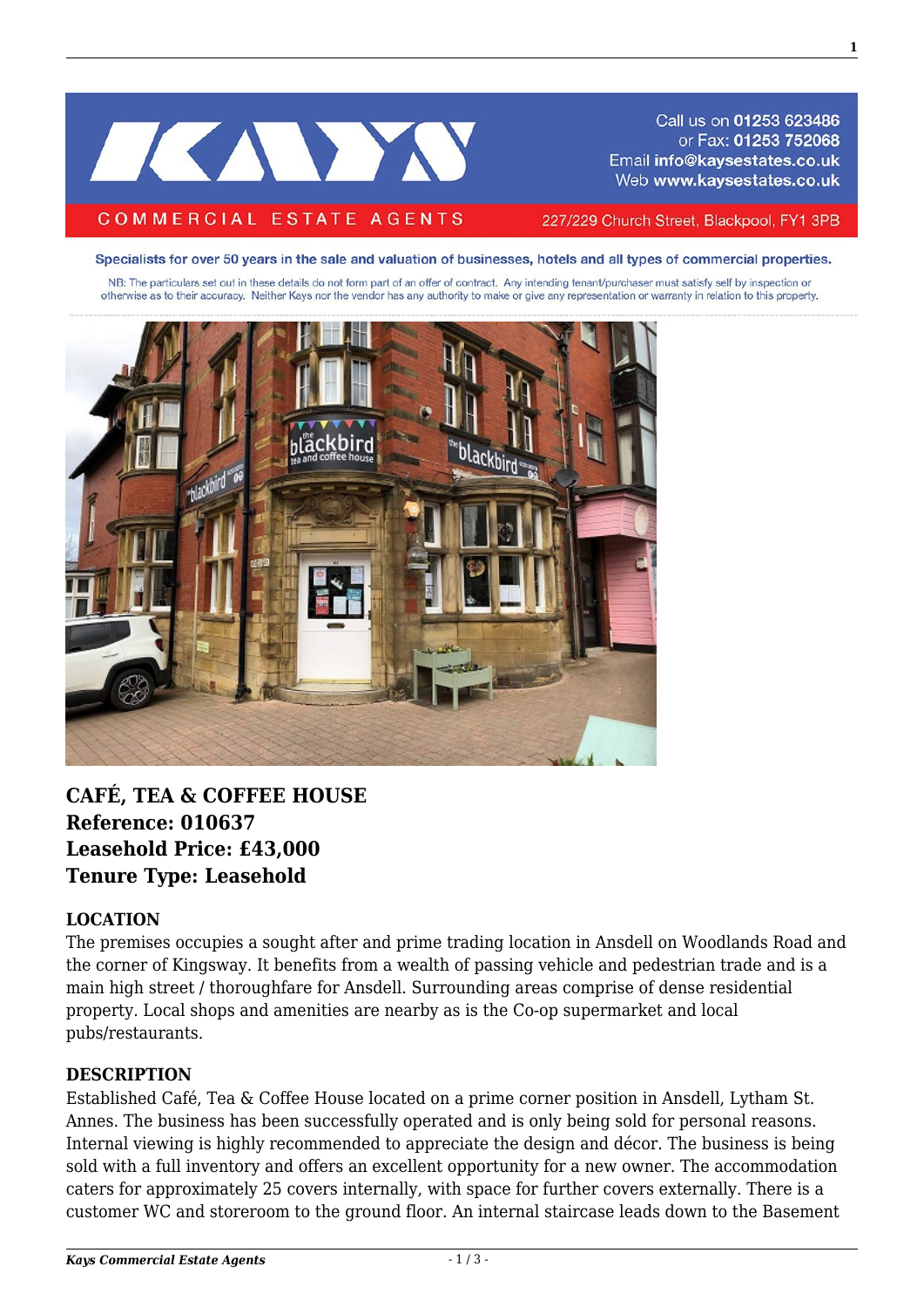# IKANYA

#### **COMMERCIAL ESTATE AGENTS**

Call us on 01253 623486 or Fax: 01253 752068 Email info@kaysestates.co.uk Web www.kaysestates.co.uk

227/229 Church Street, Blackpool, FY1 3PB

Specialists for over 50 years in the sale and valuation of businesses, hotels and all types of commercial properties.

NB: The particulars set out in these details do not form part of an offer of contract. Any intending tenant/purchaser must satisfy self by inspection or otherwise as to their accuracy. Neither Kays nor the vendor has any authority to make or give any representation or warranty in relation to this property.



# **CAFÉ, TEA & COFFEE HOUSE Reference: 010637 Leasehold Price: £43,000 Tenure Type: Leasehold**

#### **LOCATION**

The premises occupies a sought after and prime trading location in Ansdell on Woodlands Road and the corner of Kingsway. It benefits from a wealth of passing vehicle and pedestrian trade and is a main high street / thoroughfare for Ansdell. Surrounding areas comprise of dense residential property. Local shops and amenities are nearby as is the Co-op supermarket and local pubs/restaurants.

#### **DESCRIPTION**

Established Café, Tea & Coffee House located on a prime corner position in Ansdell, Lytham St. Annes. The business has been successfully operated and is only being sold for personal reasons. Internal viewing is highly recommended to appreciate the design and décor. The business is being sold with a full inventory and offers an excellent opportunity for a new owner. The accommodation caters for approximately 25 covers internally, with space for further covers externally. There is a customer WC and storeroom to the ground floor. An internal staircase leads down to the Basement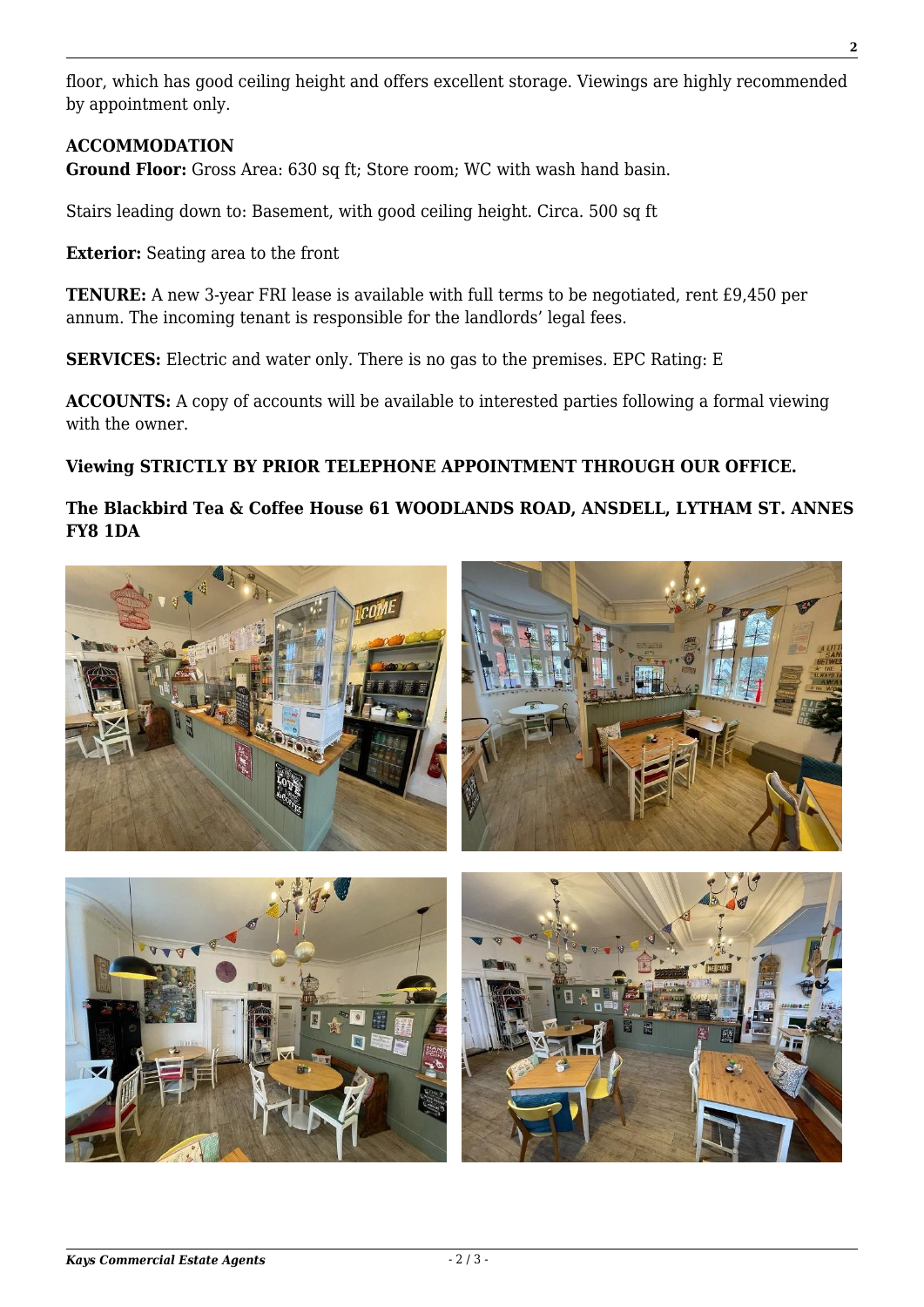floor, which has good ceiling height and offers excellent storage. Viewings are highly recommended by appointment only.

### **ACCOMMODATION**

**Ground Floor:** Gross Area: 630 sq ft; Store room; WC with wash hand basin.

Stairs leading down to: Basement, with good ceiling height. Circa. 500 sq ft

**Exterior:** Seating area to the front

**TENURE:** A new 3-year FRI lease is available with full terms to be negotiated, rent £9,450 per annum. The incoming tenant is responsible for the landlords' legal fees.

**SERVICES:** Electric and water only. There is no gas to the premises. EPC Rating: E

**ACCOUNTS:** A copy of accounts will be available to interested parties following a formal viewing with the owner.

# **Viewing STRICTLY BY PRIOR TELEPHONE APPOINTMENT THROUGH OUR OFFICE.**

## **The Blackbird Tea & Coffee House 61 WOODLANDS ROAD, ANSDELL, LYTHAM ST. ANNES FY8 1DA**